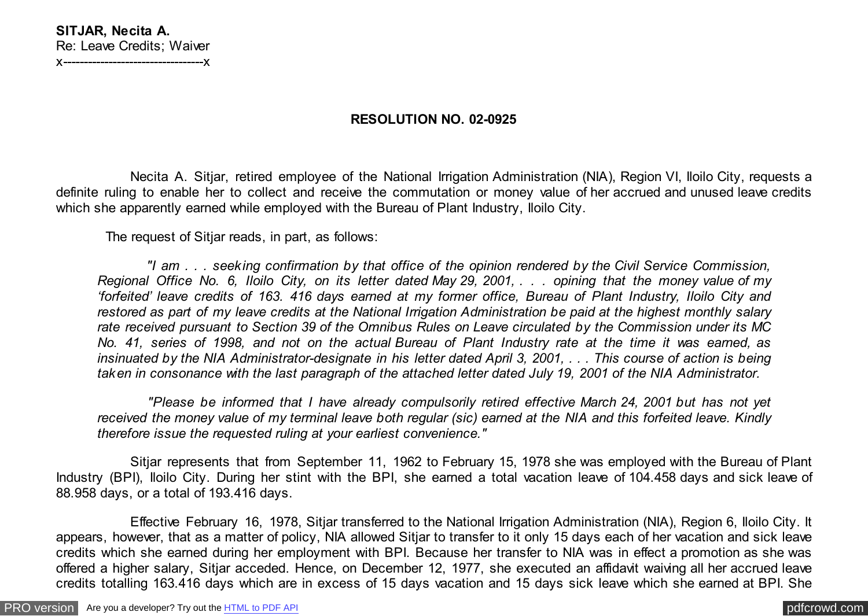## **RESOLUTION NO. 02-0925**

 Necita A. Sitjar, retired employee of the National Irrigation Administration (NIA), Region VI, Iloilo City, requests a definite ruling to enable her to collect and receive the commutation or money value of her accrued and unused leave credits which she apparently earned while employed with the Bureau of Plant Industry, Iloilo City.

The request of Sitjar reads, in part, as follows:

 *"I am . . . seeking confirmation by that office of the opinion rendered by the Civil Service Commission, Regional Office No. 6, Iloilo City, on its letter dated May 29, 2001, . . . opining that the money value of my 'forfeited' leave credits of 163. 416 days earned at my former office, Bureau of Plant Industry, Iloilo City and restored as part of my leave credits at the National Irrigation Administration be paid at the highest monthly salary rate received pursuant to Section 39 of the Omnibus Rules on Leave circulated by the Commission under its MC No. 41, series of 1998, and not on the actual Bureau of Plant Industry rate at the time it was earned, as insinuated by the NIA Administrator-designate in his letter dated April 3, 2001, . . . This course of action is being taken in consonance with the last paragraph of the attached letter dated July 19, 2001 of the NIA Administrator.*

 *"Please be informed that I have already compulsorily retired effective March 24, 2001 but has not yet received the money value of my terminal leave both regular (sic) earned at the NIA and this forfeited leave. Kindly therefore issue the requested ruling at your earliest convenience."*

 Sitjar represents that from September 11, 1962 to February 15, 1978 she was employed with the Bureau of Plant Industry (BPI), Iloilo City. During her stint with the BPI, she earned a total vacation leave of 104.458 days and sick leave of 88.958 days, or a total of 193.416 days.

 Effective February 16, 1978, Sitjar transferred to the National Irrigation Administration (NIA), Region 6, Iloilo City. It appears, however, that as a matter of policy, NIA allowed Sitjar to transfer to it only 15 days each of her vacation and sick leave credits which she earned during her employment with BPI. Because her transfer to NIA was in effect a promotion as she was offered a higher salary, Sitjar acceded. Hence, on December 12, 1977, she executed an affidavit waiving all her accrued leave credits totalling 163.416 days which are in excess of 15 days vacation and 15 days sick leave which she earned at BPI. She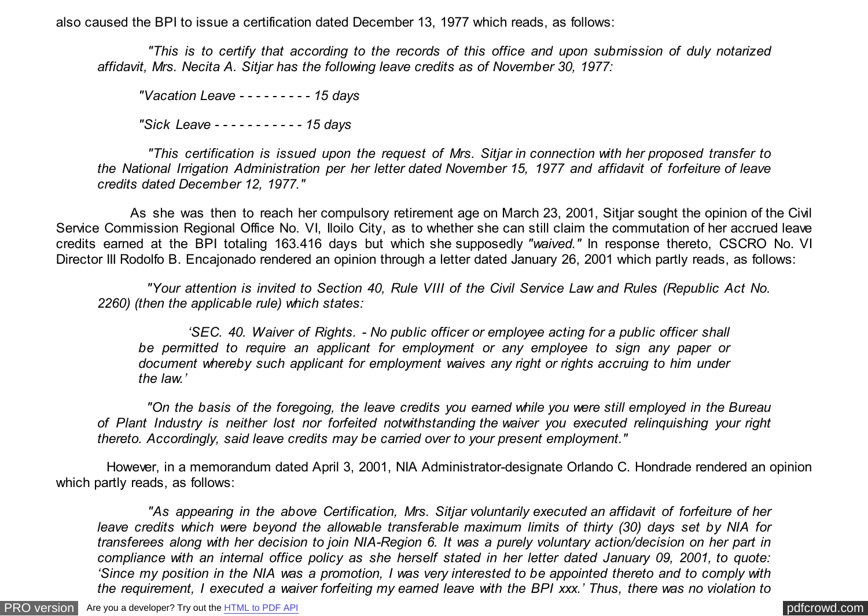also caused the BPI to issue a certification dated December 13, 1977 which reads, as follows:

 *"This is to certify that according to the records of this office and upon submission of duly notarized affidavit, Mrs. Necita A. Sitjar has the following leave credits as of November 30, 1977:*

*"Vacation Leave - - - - - - - - - 15 days*

*"Sick Leave - - - - - - - - - - - 15 days*

 *"This certification is issued upon the request of Mrs. Sitjar in connection with her proposed transfer to the National Irrigation Administration per her letter dated November 15, 1977 and affidavit of forfeiture of leave credits dated December 12, 1977."*

 As she was then to reach her compulsory retirement age on March 23, 2001, Sitjar sought the opinion of the Civil Service Commission Regional Office No. VI, Iloilo City, as to whether she can still claim the commutation of her accrued leave credits earned at the BPI totaling 163.416 days but which she supposedly *"waived."* In response thereto, CSCRO No. VI Director III Rodolfo B. Encajonado rendered an opinion through a letter dated January 26, 2001 which partly reads, as follows:

 *"Your attention is invited to Section 40, Rule VIII of the Civil Service Law and Rules (Republic Act No. 2260) (then the applicable rule) which states:*

 *'SEC. 40. Waiver of Rights. - No public officer or employee acting for a public officer shall be permitted to require an applicant for employment or any employee to sign any paper or document whereby such applicant for employment waives any right or rights accruing to him under the law.'*

 *"On the basis of the foregoing, the leave credits you earned while you were still employed in the Bureau of Plant Industry is neither lost nor forfeited notwithstanding the waiver you executed relinquishing your right thereto. Accordingly, said leave credits may be carried over to your present employment."*

 However, in a memorandum dated April 3, 2001, NIA Administrator-designate Orlando C. Hondrade rendered an opinion which partly reads, as follows:

 *"As appearing in the above Certification, Mrs. Sitjar voluntarily executed an affidavit of forfeiture of her leave credits which were beyond the allowable transferable maximum limits of thirty (30) days set by NIA for transferees along with her decision to join NIA-Region 6. It was a purely voluntary action/decision on her part in compliance with an internal office policy as she herself stated in her letter dated January 09, 2001, to quote: 'Since my position in the NIA was a promotion, I was very interested to be appointed thereto and to comply with the requirement, I executed a waiver forfeiting my earned leave with the BPI xxx.' Thus, there was no violation to*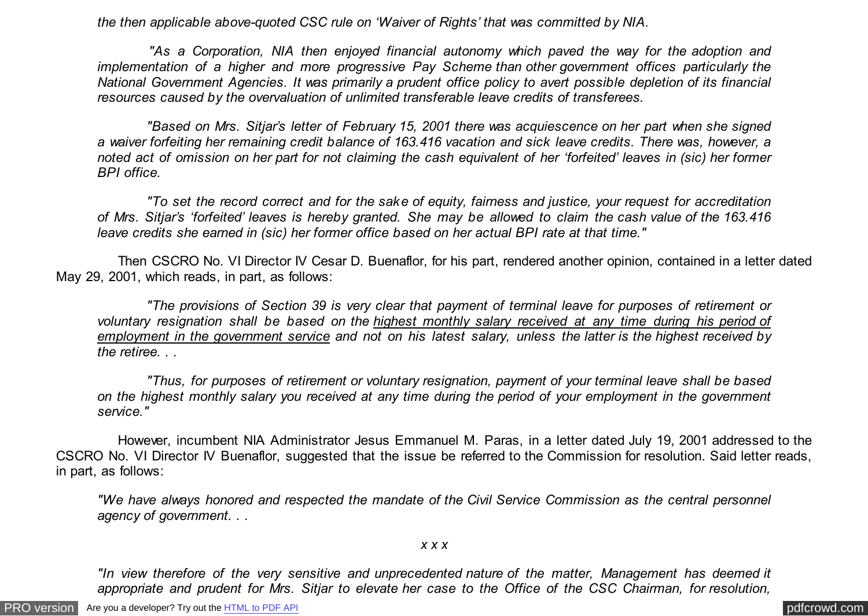*the then applicable above-quoted CSC rule on 'Waiver of Rights' that was committed by NIA.*

 *"As a Corporation, NIA then enjoyed financial autonomy which paved the way for the adoption and implementation of a higher and more progressive Pay Scheme than other government offices particularly the National Government Agencies. It was primarily a prudent office policy to avert possible depletion of its financial resources caused by the overvaluation of unlimited transferable leave credits of transferees.*

 *"Based on Mrs. Sitjar's letter of February 15, 2001 there was acquiescence on her part when she signed a waiver forfeiting her remaining credit balance of 163.416 vacation and sick leave credits. There was, however, a noted act of omission on her part for not claiming the cash equivalent of her 'forfeited' leaves in (sic) her former BPI office.*

 *"To set the record correct and for the sake of equity, fairness and justice, your request for accreditation of Mrs. Sitjar's 'forfeited' leaves is hereby granted. She may be allowed to claim the cash value of the 163.416 leave credits she earned in (sic) her former office based on her actual BPI rate at that time."*

 Then CSCRO No. VI Director IV Cesar D. Buenaflor, for his part, rendered another opinion, contained in a letter dated May 29, 2001, which reads, in part, as follows:

 *"The provisions of Section 39 is very clear that payment of terminal leave for purposes of retirement or voluntary resignation shall be based on the highest monthly salary received at any time during his period of employment in the government service and not on his latest salary, unless the latter is the highest received by the retiree. . .*

 *"Thus, for purposes of retirement or voluntary resignation, payment of your terminal leave shall be based on the highest monthly salary you received at any time during the period of your employment in the government service."*

 However, incumbent NIA Administrator Jesus Emmanuel M. Paras, in a letter dated July 19, 2001 addressed to the CSCRO No. VI Director IV Buenaflor, suggested that the issue be referred to the Commission for resolution. Said letter reads, in part, as follows:

*"We have always honored and respected the mandate of the Civil Service Commission as the central personnel agency of government. . .*

## *x x x*

*"In view therefore of the very sensitive and unprecedented nature of the matter, Management has deemed it appropriate and prudent for Mrs. Sitjar to elevate her case to the Office of the CSC Chairman, for resolution,*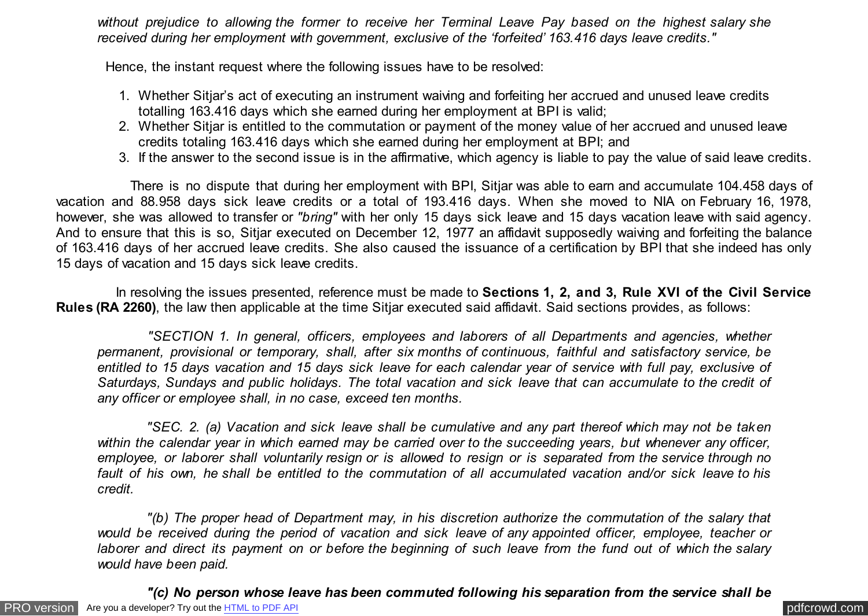*without prejudice to allowing the former to receive her Terminal Leave Pay based on the highest salary she received during her employment with government, exclusive of the 'forfeited' 163.416 days leave credits."*

Hence, the instant request where the following issues have to be resolved:

- 1. Whether Sitjar's act of executing an instrument waiving and forfeiting her accrued and unused leave credits totalling 163.416 days which she earned during her employment at BPI is valid;
- 2. Whether Sitjar is entitled to the commutation or payment of the money value of her accrued and unused leave credits totaling 163.416 days which she earned during her employment at BPI; and
- 3. If the answer to the second issue is in the affirmative, which agency is liable to pay the value of said leave credits.

 There is no dispute that during her employment with BPI, Sitjar was able to earn and accumulate 104.458 days of vacation and 88.958 days sick leave credits or a total of 193.416 days. When she moved to NIA on February 16, 1978, however, she was allowed to transfer or *"bring"* with her only 15 days sick leave and 15 days vacation leave with said agency. And to ensure that this is so, Sitjar executed on December 12, 1977 an affidavit supposedly waiving and forfeiting the balance of 163.416 days of her accrued leave credits. She also caused the issuance of a certification by BPI that she indeed has only 15 days of vacation and 15 days sick leave credits.

 In resolving the issues presented, reference must be made to **Sections 1, 2, and 3, Rule XVI of the Civil Service Rules (RA 2260)**, the law then applicable at the time Sitiar executed said affidavit. Said sections provides, as follows:

 *"SECTION 1. In general, officers, employees and laborers of all Departments and agencies, whether permanent, provisional or temporary, shall, after six months of continuous, faithful and satisfactory service, be entitled to 15 days vacation and 15 days sick leave for each calendar year of service with full pay, exclusive of Saturdays, Sundays and public holidays. The total vacation and sick leave that can accumulate to the credit of any officer or employee shall, in no case, exceed ten months.*

 *"SEC. 2. (a) Vacation and sick leave shall be cumulative and any part thereof which may not be taken within the calendar year in which earned may be carried over to the succeeding years, but whenever any officer, employee, or laborer shall voluntarily resign or is allowed to resign or is separated from the service through no fault of his own, he shall be entitled to the commutation of all accumulated vacation and/or sick leave to his credit.*

 *"(b) The proper head of Department may, in his discretion authorize the commutation of the salary that would be received during the period of vacation and sick leave of any appointed officer, employee, teacher or laborer and direct its payment on or before the beginning of such leave from the fund out of which the salary would have been paid.*

[PRO version](http://pdfcrowd.com/customize/) Are you a developer? Try out th[e HTML to PDF API](http://pdfcrowd.com/html-to-pdf-api/?ref=pdf) process and the example of the HTML to PDF API [pdfcrowd.com](http://pdfcrowd.com)  *"(c) No person whose leave has been commuted following his separation from the service shall be*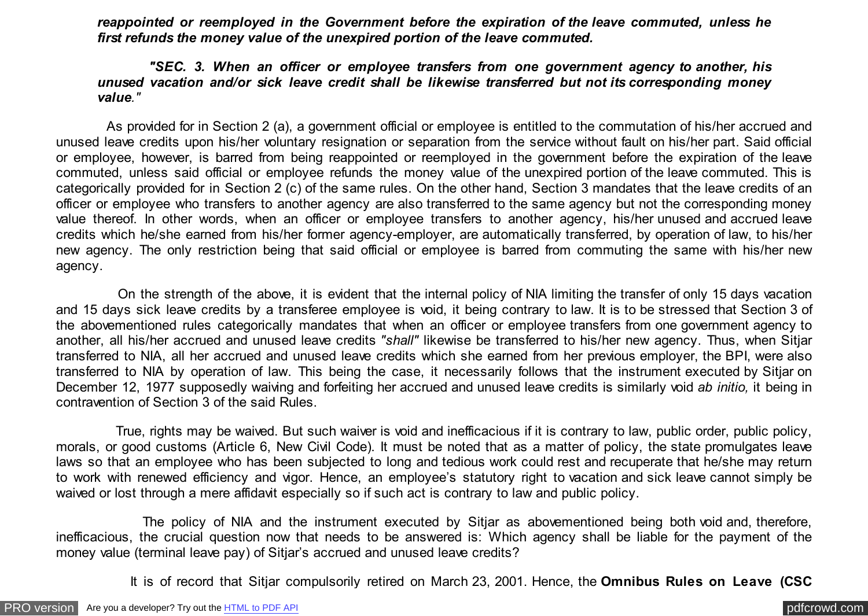*reappointed or reemployed in the Government before the expiration of the leave commuted, unless he first refunds the money value of the unexpired portion of the leave commuted.*

## *"SEC. 3. When an officer or employee transfers from one government agency to another, his unused vacation and/or sick leave credit shall be likewise transferred but not its corresponding money value."*

 As provided for in Section 2 (a), a government official or employee is entitled to the commutation of his/her accrued and unused leave credits upon his/her voluntary resignation or separation from the service without fault on his/her part. Said official or employee, however, is barred from being reappointed or reemployed in the government before the expiration of the leave commuted, unless said official or employee refunds the money value of the unexpired portion of the leave commuted. This is categorically provided for in Section 2 (c) of the same rules. On the other hand, Section 3 mandates that the leave credits of an officer or employee who transfers to another agency are also transferred to the same agency but not the corresponding money value thereof. In other words, when an officer or employee transfers to another agency, his/her unused and accrued leave credits which he/she earned from his/her former agency-employer, are automatically transferred, by operation of law, to his/her new agency. The only restriction being that said official or employee is barred from commuting the same with his/her new agency.

 On the strength of the above, it is evident that the internal policy of NIA limiting the transfer of only 15 days vacation and 15 days sick leave credits by a transferee employee is void, it being contrary to law. It is to be stressed that Section 3 of the abovementioned rules categorically mandates that when an officer or employee transfers from one government agency to another, all his/her accrued and unused leave credits *"shall"* likewise be transferred to his/her new agency. Thus, when Sitjar transferred to NIA, all her accrued and unused leave credits which she earned from her previous employer, the BPI, were also transferred to NIA by operation of law. This being the case, it necessarily follows that the instrument executed by Sitjar on December 12, 1977 supposedly waiving and forfeiting her accrued and unused leave credits is similarly void *ab initio,* it being in contravention of Section 3 of the said Rules.

 True, rights may be waived. But such waiver is void and inefficacious if it is contrary to law, public order, public policy, morals, or good customs (Article 6, New Civil Code). It must be noted that as a matter of policy, the state promulgates leave laws so that an employee who has been subjected to long and tedious work could rest and recuperate that he/she may return to work with renewed efficiency and vigor. Hence, an employee's statutory right to vacation and sick leave cannot simply be waived or lost through a mere affidavit especially so if such act is contrary to law and public policy.

 The policy of NIA and the instrument executed by Sitjar as abovementioned being both void and, therefore, inefficacious, the crucial question now that needs to be answered is: Which agency shall be liable for the payment of the money value (terminal leave pay) of Sitjar's accrued and unused leave credits?

It is of record that Sitjar compulsorily retired on March 23, 2001. Hence, the **Omnibus Rules on Leave (CSC**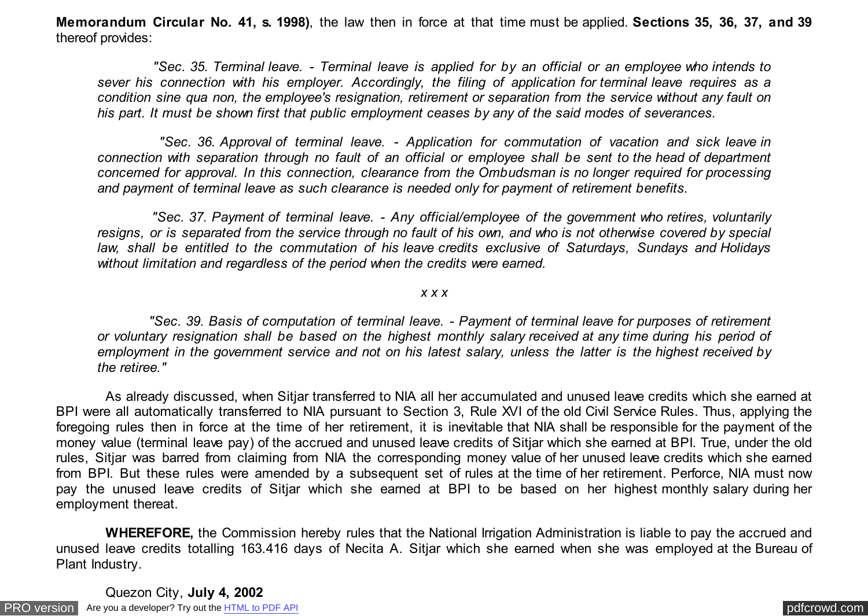**Memorandum Circular No. 41, s. 1998)**, the law then in force at that time must be applied. **Sections 35, 36, 37, and 39** thereof provides:

 *"Sec. 35. Terminal leave. - Terminal leave is applied for by an official or an employee who intends to sever his connection with his employer. Accordingly, the filing of application for terminal leave requires as a condition sine qua non, the employee's resignation, retirement or separation from the service without any fault on his part. It must be shown first that public employment ceases by any of the said modes of severances.*

 *"Sec. 36. Approval of terminal leave. - Application for commutation of vacation and sick leave in connection with separation through no fault of an official or employee shall be sent to the head of department concerned for approval. In this connection, clearance from the Ombudsman is no longer required for processing and payment of terminal leave as such clearance is needed only for payment of retirement benefits.*

 *"Sec. 37. Payment of terminal leave. - Any official/employee of the government who retires, voluntarily resigns, or is separated from the service through no fault of his own, and who is not otherwise covered by special law, shall be entitled to the commutation of his leave credits exclusive of Saturdays, Sundays and Holidays without limitation and regardless of the period when the credits were earned.*

## *x x x*

 *"Sec. 39. Basis of computation of terminal leave. - Payment of terminal leave for purposes of retirement or voluntary resignation shall be based on the highest monthly salary received at any time during his period of employment in the government service and not on his latest salary, unless the latter is the highest received by the retiree."*

 As already discussed, when Sitjar transferred to NIA all her accumulated and unused leave credits which she earned at BPI were all automatically transferred to NIA pursuant to Section 3, Rule XVI of the old Civil Service Rules. Thus, applying the foregoing rules then in force at the time of her retirement, it is inevitable that NIA shall be responsible for the payment of the money value (terminal leave pay) of the accrued and unused leave credits of Sitjar which she earned at BPI. True, under the old rules, Sitjar was barred from claiming from NIA the corresponding money value of her unused leave credits which she earned from BPI. But these rules were amended by a subsequent set of rules at the time of her retirement. Perforce, NIA must now pay the unused leave credits of Sitjar which she earned at BPI to be based on her highest monthly salary during her employment thereat.

 **WHEREFORE,** the Commission hereby rules that the National Irrigation Administration is liable to pay the accrued and unused leave credits totalling 163.416 days of Necita A. Sitjar which she earned when she was employed at the Bureau of Plant Industry.

[PRO version](http://pdfcrowd.com/customize/) Are you a developer? Try out th[e HTML to PDF API](http://pdfcrowd.com/html-to-pdf-api/?ref=pdf) provided and the example of the HTML to PDF API posterior and the example of the example of the example of the example of the example of the example of the examp Quezon City, **July 4, 2002**